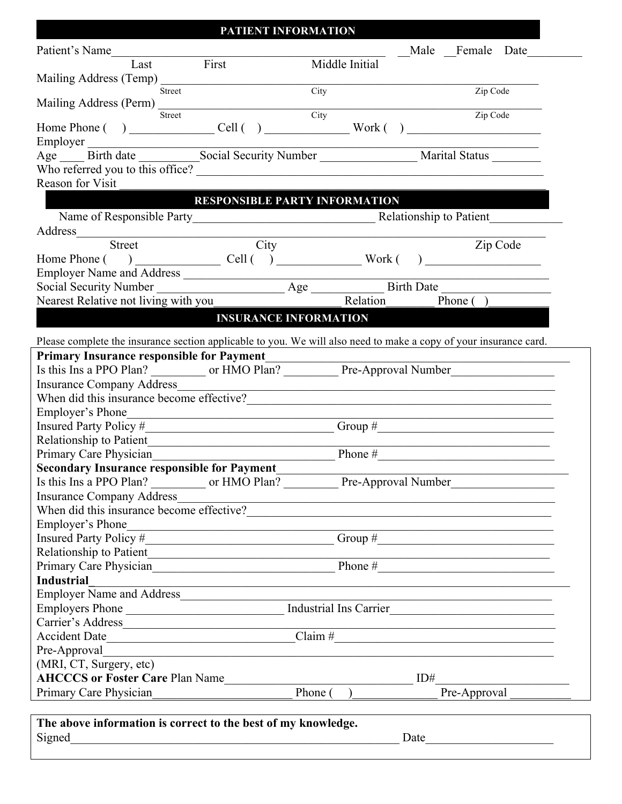## **PATIENT INFORMATION**

| Patient's Name                                                                                                                                                                                                                                        | <u>LAHIENT INFONIZITION</u>                                                                                          |                        | Male Female Date                                           |
|-------------------------------------------------------------------------------------------------------------------------------------------------------------------------------------------------------------------------------------------------------|----------------------------------------------------------------------------------------------------------------------|------------------------|------------------------------------------------------------|
| First<br>Last                                                                                                                                                                                                                                         | Middle Initial                                                                                                       |                        |                                                            |
|                                                                                                                                                                                                                                                       |                                                                                                                      |                        |                                                            |
| Street                                                                                                                                                                                                                                                | City                                                                                                                 |                        | Zip Code                                                   |
| Mailing Address (Perm)                                                                                                                                                                                                                                | City                                                                                                                 |                        |                                                            |
| Street<br>Employer                                                                                                                                                                                                                                    |                                                                                                                      |                        | Zip Code                                                   |
|                                                                                                                                                                                                                                                       |                                                                                                                      |                        |                                                            |
| Who referred you to this office?                                                                                                                                                                                                                      |                                                                                                                      |                        |                                                            |
| Reason for Visit                                                                                                                                                                                                                                      |                                                                                                                      |                        |                                                            |
|                                                                                                                                                                                                                                                       |                                                                                                                      |                        |                                                            |
|                                                                                                                                                                                                                                                       | <b>RESPONSIBLE PARTY INFORMATION</b>                                                                                 |                        |                                                            |
|                                                                                                                                                                                                                                                       |                                                                                                                      |                        |                                                            |
| Address<br>Street                                                                                                                                                                                                                                     |                                                                                                                      |                        |                                                            |
|                                                                                                                                                                                                                                                       | City                                                                                                                 |                        | Zip Code                                                   |
|                                                                                                                                                                                                                                                       |                                                                                                                      |                        |                                                            |
|                                                                                                                                                                                                                                                       |                                                                                                                      |                        |                                                            |
| Employer Name and Address<br>Social Security Number <u>Age Birth Date</u>                                                                                                                                                                             |                                                                                                                      | Relation               |                                                            |
| Nearest Relative not living with you                                                                                                                                                                                                                  |                                                                                                                      | Phone $( )$            |                                                            |
| <u> Light</u>                                                                                                                                                                                                                                         | <b>INSURANCE INFORMATION</b>                                                                                         |                        |                                                            |
| Please complete the insurance section applicable to you. We will also need to make a copy of your insurance card.                                                                                                                                     |                                                                                                                      |                        |                                                            |
| <b>Primary Insurance responsible for Payment</b>                                                                                                                                                                                                      |                                                                                                                      |                        |                                                            |
|                                                                                                                                                                                                                                                       |                                                                                                                      |                        |                                                            |
| <b>Insurance Company Address</b>                                                                                                                                                                                                                      |                                                                                                                      |                        |                                                            |
| When did this insurance become effective?                                                                                                                                                                                                             |                                                                                                                      |                        |                                                            |
| Employer's Phone                                                                                                                                                                                                                                      |                                                                                                                      |                        |                                                            |
|                                                                                                                                                                                                                                                       | <u> 1980 - Antonio Alemania, prima postala de la provincia de la provincia de la provincia de la provincia de la</u> |                        |                                                            |
|                                                                                                                                                                                                                                                       |                                                                                                                      |                        |                                                            |
|                                                                                                                                                                                                                                                       |                                                                                                                      |                        |                                                            |
|                                                                                                                                                                                                                                                       |                                                                                                                      |                        | <u> 1990 - Johann John Stoff, fransk politik (d. 1980)</u> |
| Primary Care Physician                                                                                                                                                                                                                                |                                                                                                                      | $\blacksquare$ Phone # |                                                            |
|                                                                                                                                                                                                                                                       |                                                                                                                      |                        |                                                            |
| <b>Secondary Insurance responsible for Payment</b><br>Is this Ins a PPO Plan?                                                                                                                                                                         | or HMO Plan?                                                                                                         | Pre-Approval Number    |                                                            |
|                                                                                                                                                                                                                                                       |                                                                                                                      |                        |                                                            |
|                                                                                                                                                                                                                                                       |                                                                                                                      |                        |                                                            |
|                                                                                                                                                                                                                                                       | <u> 1989 - Johann Stein, mars an t-Amerikaansk ferskeidsmeister (</u>                                                |                        |                                                            |
| <b>Insurance Company Address</b><br>When did this insurance become effective?<br><u> </u><br>Employer's Phone                                                                                                                                         |                                                                                                                      |                        |                                                            |
|                                                                                                                                                                                                                                                       |                                                                                                                      |                        |                                                            |
| Relationship to Patient                                                                                                                                                                                                                               |                                                                                                                      | Phone $#$              |                                                            |
|                                                                                                                                                                                                                                                       |                                                                                                                      |                        |                                                            |
|                                                                                                                                                                                                                                                       |                                                                                                                      |                        |                                                            |
|                                                                                                                                                                                                                                                       |                                                                                                                      |                        |                                                            |
|                                                                                                                                                                                                                                                       |                                                                                                                      |                        |                                                            |
| <b>Industrial</b><br>Carrier's Address<br>Accident Date Claim # Claim # Claim # Claim # Claim # Claim # Claim # Claim # Claim # Claim # Claim # Claim # Claim # Claim # Claim # Claim # Claim # Claim # Claim # Claim # Claim # Claim # Claim # Claim |                                                                                                                      |                        |                                                            |
| Pre-Approval                                                                                                                                                                                                                                          |                                                                                                                      |                        |                                                            |
| (MRI, CT, Surgery, etc)                                                                                                                                                                                                                               |                                                                                                                      | ID#                    |                                                            |
| <b>AHCCCS or Foster Care Plan Name</b><br>Primary Care Physician                                                                                                                                                                                      | Phone (                                                                                                              | Pre-Approval           |                                                            |

| The above information is correct to the best of my knowledge. |      |  |
|---------------------------------------------------------------|------|--|
| Signed                                                        | Date |  |
|                                                               |      |  |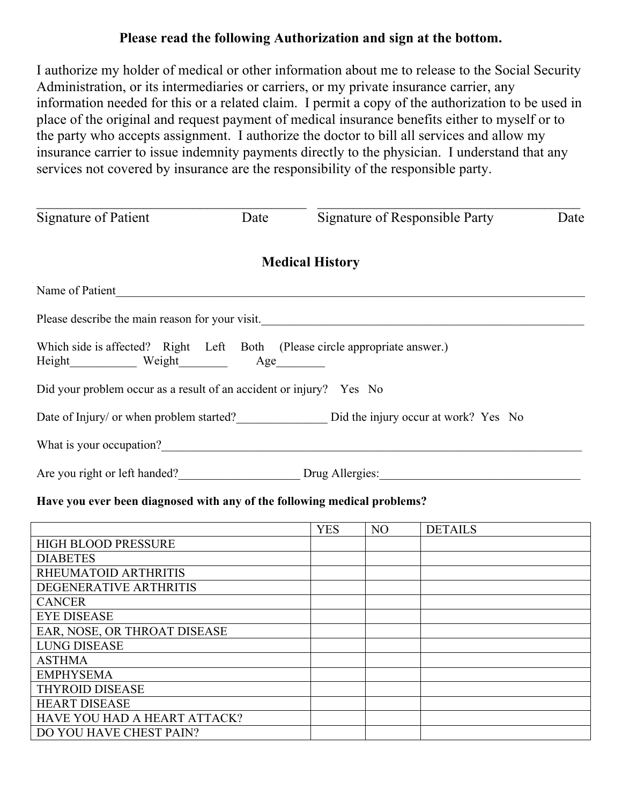# **Please read the following Authorization and sign at the bottom.**

I authorize my holder of medical or other information about me to release to the Social Security Administration, or its intermediaries or carriers, or my private insurance carrier, any information needed for this or a related claim. I permit a copy of the authorization to be used in place of the original and request payment of medical insurance benefits either to myself or to the party who accepts assignment. I authorize the doctor to bill all services and allow my insurance carrier to issue indemnity payments directly to the physician. I understand that any services not covered by insurance are the responsibility of the responsible party.

| Signature of Patient                                                                             | Date | Signature of Responsible Party                                                | Date |
|--------------------------------------------------------------------------------------------------|------|-------------------------------------------------------------------------------|------|
|                                                                                                  |      | <b>Medical History</b>                                                        |      |
| Name of Patient                                                                                  |      |                                                                               |      |
|                                                                                                  |      | Please describe the main reason for your visit.                               |      |
| Which side is affected? Right Left Both (Please circle appropriate answer.)<br>Height Weight Age |      |                                                                               |      |
| Did your problem occur as a result of an accident or injury? Yes No                              |      |                                                                               |      |
|                                                                                                  |      | Date of Injury/ or when problem started? Did the injury occur at work? Yes No |      |
| What is your occupation?                                                                         |      |                                                                               |      |
| Are you right or left handed?                                                                    |      | Drug Allergies:                                                               |      |

### **Have you ever been diagnosed with any of the following medical problems?**

|                              | <b>YES</b> | N <sub>O</sub> | <b>DETAILS</b> |
|------------------------------|------------|----------------|----------------|
| <b>HIGH BLOOD PRESSURE</b>   |            |                |                |
| <b>DIABETES</b>              |            |                |                |
| RHEUMATOID ARTHRITIS         |            |                |                |
| DEGENERATIVE ARTHRITIS       |            |                |                |
| <b>CANCER</b>                |            |                |                |
| <b>EYE DISEASE</b>           |            |                |                |
| EAR, NOSE, OR THROAT DISEASE |            |                |                |
| <b>LUNG DISEASE</b>          |            |                |                |
| <b>ASTHMA</b>                |            |                |                |
| <b>EMPHYSEMA</b>             |            |                |                |
| <b>THYROID DISEASE</b>       |            |                |                |
| <b>HEART DISEASE</b>         |            |                |                |
| HAVE YOU HAD A HEART ATTACK? |            |                |                |
| DO YOU HAVE CHEST PAIN?      |            |                |                |